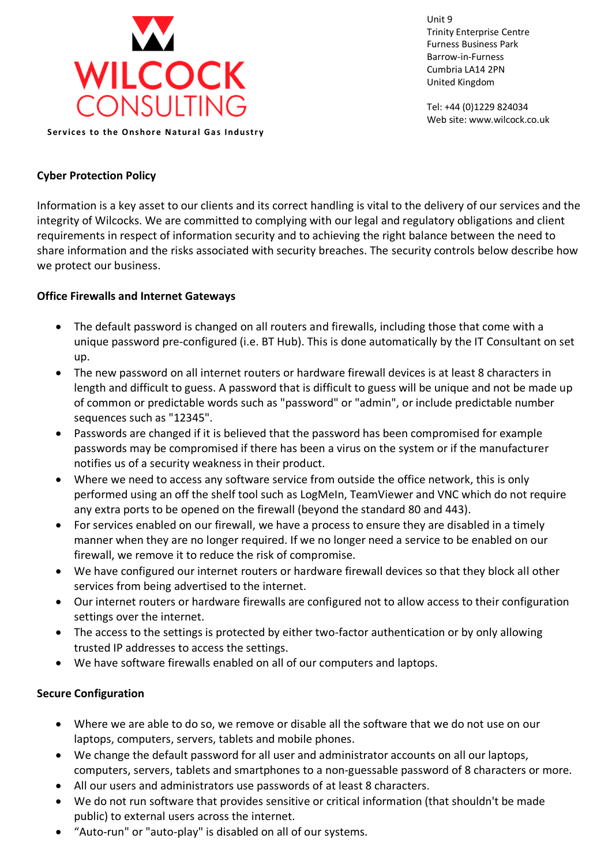

**Services to the Onshore Natural Gas Industry** 

Unit 9 Trinity Enterprise Centre Furness Business Park Barrow-in-Furness Cumbria LA14 2PN United Kingdom

Tel: +44 (0)1229 824034 Web site: www.wilcock.co.uk

# **Cyber Protection Policy**

Information is a key asset to our clients and its correct handling is vital to the delivery of our services and the integrity of Wilcocks. We are committed to complying with our legal and regulatory obligations and client requirements in respect of information security and to achieving the right balance between the need to share information and the risks associated with security breaches. The security controls below describe how we protect our business.

### **Office Firewalls and Internet Gateways**

- The default password is changed on all routers and firewalls, including those that come with a unique password pre-configured (i.e. BT Hub). This is done automatically by the IT Consultant on set up.
- The new password on all internet routers or hardware firewall devices is at least 8 characters in length and difficult to guess. A password that is difficult to guess will be unique and not be made up of common or predictable words such as "password" or "admin", or include predictable number sequences such as "12345".
- Passwords are changed if it is believed that the password has been compromised for example passwords may be compromised if there has been a virus on the system or if the manufacturer notifies us of a security weakness in their product.
- Where we need to access any software service from outside the office network, this is only performed using an off the shelf tool such as LogMeIn, TeamViewer and VNC which do not require any extra ports to be opened on the firewall (beyond the standard 80 and 443).
- For services enabled on our firewall, we have a process to ensure they are disabled in a timely manner when they are no longer required. If we no longer need a service to be enabled on our firewall, we remove it to reduce the risk of compromise.
- We have configured our internet routers or hardware firewall devices so that they block all other services from being advertised to the internet.
- Our internet routers or hardware firewalls are configured not to allow access to their configuration settings over the internet.
- The access to the settings is protected by either two-factor authentication or by only allowing trusted IP addresses to access the settings.
- We have software firewalls enabled on all of our computers and laptops.

## **Secure Configuration**

- Where we are able to do so, we remove or disable all the software that we do not use on our laptops, computers, servers, tablets and mobile phones.
- We change the default password for all user and administrator accounts on all our laptops, computers, servers, tablets and smartphones to a non-guessable password of 8 characters or more.
- All our users and administrators use passwords of at least 8 characters.
- We do not run software that provides sensitive or critical information (that shouldn't be made public) to external users across the internet.
- "Auto-run" or "auto-play" is disabled on all of our systems.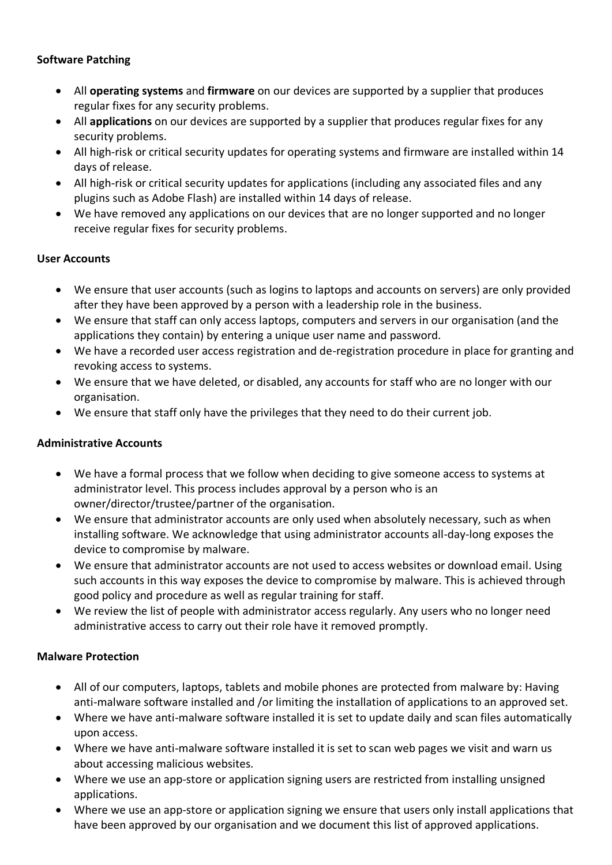## **Software Patching**

- All **operating systems** and **firmware** on our devices are supported by a supplier that produces regular fixes for any security problems.
- All **applications** on our devices are supported by a supplier that produces regular fixes for any security problems.
- All high-risk or critical security updates for operating systems and firmware are installed within 14 days of release.
- All high-risk or critical security updates for applications (including any associated files and any plugins such as Adobe Flash) are installed within 14 days of release.
- We have removed any applications on our devices that are no longer supported and no longer receive regular fixes for security problems.

## **User Accounts**

- We ensure that user accounts (such as logins to laptops and accounts on servers) are only provided after they have been approved by a person with a leadership role in the business.
- We ensure that staff can only access laptops, computers and servers in our organisation (and the applications they contain) by entering a unique user name and password.
- We have a recorded user access registration and de-registration procedure in place for granting and revoking access to systems.
- We ensure that we have deleted, or disabled, any accounts for staff who are no longer with our organisation.
- We ensure that staff only have the privileges that they need to do their current job.

## **Administrative Accounts**

- We have a formal process that we follow when deciding to give someone access to systems at administrator level. This process includes approval by a person who is an owner/director/trustee/partner of the organisation.
- We ensure that administrator accounts are only used when absolutely necessary, such as when installing software. We acknowledge that using administrator accounts all-day-long exposes the device to compromise by malware.
- We ensure that administrator accounts are not used to access websites or download email. Using such accounts in this way exposes the device to compromise by malware. This is achieved through good policy and procedure as well as regular training for staff.
- We review the list of people with administrator access regularly. Any users who no longer need administrative access to carry out their role have it removed promptly.

## **Malware Protection**

- All of our computers, laptops, tablets and mobile phones are protected from malware by: Having anti-malware software installed and /or limiting the installation of applications to an approved set.
- Where we have anti-malware software installed it is set to update daily and scan files automatically upon access.
- Where we have anti-malware software installed it is set to scan web pages we visit and warn us about accessing malicious websites.
- Where we use an app-store or application signing users are restricted from installing unsigned applications.
- Where we use an app-store or application signing we ensure that users only install applications that have been approved by our organisation and we document this list of approved applications.